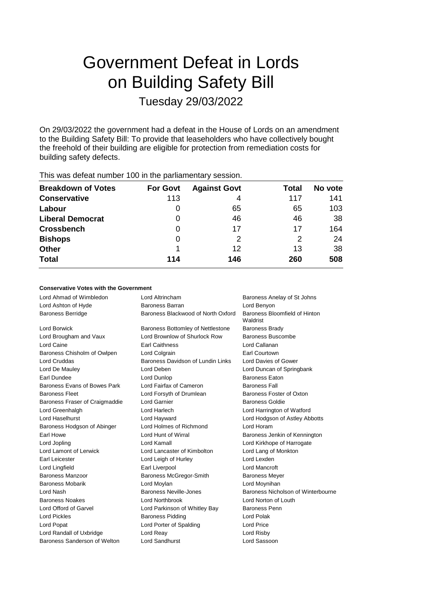# Government Defeat in Lords on Building Safety Bill Tuesday 29/03/2022

On 29/03/2022 the government had a defeat in the House of Lords on an amendment to the Building Safety Bill: To provide that leaseholders who have collectively bought the freehold of their building are eligible for protection from remediation costs for building safety defects.

| <b>Breakdown of Votes</b> | <b>For Govt</b> | <b>Against Govt</b> | Total | No vote |
|---------------------------|-----------------|---------------------|-------|---------|
| <b>Conservative</b>       | 113             | 4                   | 117   | 141     |
| Labour                    | 0               | 65                  | 65    | 103     |
| <b>Liberal Democrat</b>   | 0               | 46                  | 46    | 38      |
| <b>Crossbench</b>         | 0               | 17                  | 17    | 164     |
| <b>Bishops</b>            | 0               | 2                   | 2     | 24      |
| <b>Other</b>              |                 | 12                  | 13    | 38      |
| <b>Total</b>              | 114             | 146                 | 260   | 508     |
|                           |                 |                     |       |         |

This was defeat number 100 in the parliamentary session.

### **Conservative Votes with the Government**

| Lord Ahmad of Wimbledon        | Lord Altrincham<br>Baroness Anelay of St Johns |                                           |
|--------------------------------|------------------------------------------------|-------------------------------------------|
| Lord Ashton of Hyde            | <b>Baroness Barran</b>                         | Lord Benyon                               |
| <b>Baroness Berridge</b>       | Baroness Blackwood of North Oxford             | Baroness Bloomfield of Hinton<br>Waldrist |
| Lord Borwick                   | Baroness Bottomley of Nettlestone              | <b>Baroness Brady</b>                     |
| Lord Brougham and Vaux         | Lord Brownlow of Shurlock Row                  | <b>Baroness Buscombe</b>                  |
| Lord Caine                     | <b>Earl Caithness</b>                          | Lord Callanan                             |
| Baroness Chisholm of Owlpen    | Lord Colgrain                                  | Earl Courtown                             |
| <b>Lord Cruddas</b>            | Baroness Davidson of Lundin Links              | Lord Davies of Gower                      |
| Lord De Mauley                 | Lord Deben                                     | Lord Duncan of Springbank                 |
| Earl Dundee                    | Lord Dunlop                                    | <b>Baroness Eaton</b>                     |
| Baroness Evans of Bowes Park   | Lord Fairfax of Cameron                        | <b>Baroness Fall</b>                      |
| <b>Baroness Fleet</b>          | Lord Forsyth of Drumlean                       | Baroness Foster of Oxton                  |
| Baroness Fraser of Craigmaddie | Lord Garnier                                   | <b>Baroness Goldie</b>                    |
| Lord Greenhalgh                | Lord Harlech                                   | Lord Harrington of Watford                |
| Lord Haselhurst                | Lord Hayward                                   | Lord Hodgson of Astley Abbotts            |
| Baroness Hodgson of Abinger    | Lord Holmes of Richmond                        | Lord Horam                                |
| Earl Howe                      | Lord Hunt of Wirral                            | Baroness Jenkin of Kennington             |
| Lord Jopling                   | Lord Kamall                                    | Lord Kirkhope of Harrogate                |
| Lord Lamont of Lerwick         | Lord Lancaster of Kimbolton                    | Lord Lang of Monkton                      |
| Earl Leicester                 | Lord Leigh of Hurley                           | Lord Lexden                               |
| Lord Lingfield                 | Earl Liverpool                                 | <b>Lord Mancroft</b>                      |
| <b>Baroness Manzoor</b>        | Baroness McGregor-Smith                        | <b>Baroness Meyer</b>                     |
| <b>Baroness Mobarik</b>        | Lord Moylan                                    | Lord Moynihan                             |
| Lord Nash                      | Baroness Neville-Jones                         | Baroness Nicholson of Winterbourne        |
| <b>Baroness Noakes</b>         | <b>Lord Northbrook</b>                         | Lord Norton of Louth                      |
| Lord Offord of Garvel          | Lord Parkinson of Whitley Bay                  | <b>Baroness Penn</b>                      |
| <b>Lord Pickles</b>            | <b>Baroness Pidding</b>                        | Lord Polak                                |
| Lord Popat                     | Lord Porter of Spalding                        | Lord Price                                |
| Lord Randall of Uxbridge       | Lord Reay                                      | Lord Risby                                |
| Baroness Sanderson of Welton   | Lord Sandhurst                                 | Lord Sassoon                              |
|                                |                                                |                                           |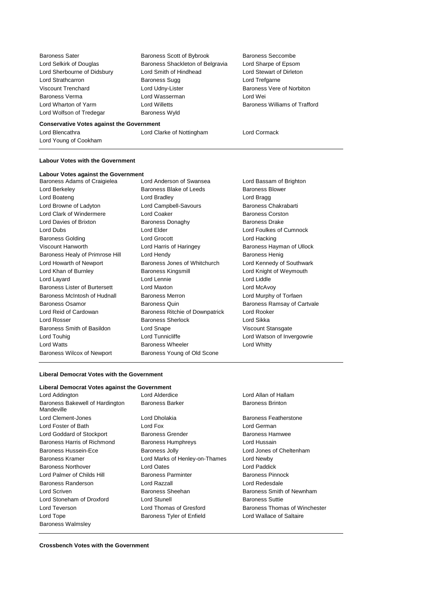Lord Wolfson of Tredegar Baroness Wyld

Baroness Sater Baroness Scott of Bybrook Baroness Seccombe Lord Selkirk of Douglas Baroness Shackleton of Belgravia Lord Sharpe of Epsom Lord Sherbourne of Didsbury Lord Smith of Hindhead Lord Stewart of Dirleton Lord Strathcarron **Baroness Sugg Lord Trefgarne** Viscount Trenchard **Lord Udny-Lister** Baroness Vere of Norbiton Baroness Verma Lord Wasserman Lord Wei Lord Wharton of Yarm **Lord Willetts Baroness Williams of Trafford** 

#### **Conservative Votes against the Government**

Lord Blencathra Lord Clarke of Nottingham Lord Cormack

Lord Young of Cookham

#### **Labour Votes with the Government**

**Labour Votes against the Government** Baroness Adams of Craigielea Lord Anderson of Swansea Lord Bassam of Brighton Lord Berkeley **Baroness Blake of Leeds** Baroness Blower Lord Boateng **Lord Bradley** Lord Bradley **Lord Bragg** Lord Browne of Ladyton **Lord Campbell-Savours** Baroness Chakrabarti Lord Clark of Windermere **Lord Coaker Baroness Corston** Lord Davies of Brixton Baroness Donaghy Baroness Drake Lord Dubs Lord Elder Lord Foulkes of Cumnock Baroness Golding Lord Grocott Lord Hacking Viscount Hanworth **Lord Harris of Haringey** Baroness Hayman of Ullock Baroness Healy of Primrose Hill Lord Hendy **Baroness Henig** Baroness Henig Lord Howarth of Newport Baroness Jones of Whitchurch Lord Kennedy of Southwark Lord Khan of Burnley **Baroness Kingsmill Lord Knight of Weymouth** Lord Layard Lord Lennie Lord Liddle Baroness Lister of Burtersett Lord Maxton Lord McAvoy Baroness McIntosh of Hudnall Baroness Merron Lord Murphy of Torfaen Baroness Osamor Baroness Quin Baroness Ramsay of Cartvale Lord Reid of Cardowan Baroness Ritchie of Downpatrick Lord Rooker Lord Rosser **Baroness Sherlock** Lord Sikka Baroness Smith of Basildon Lord Snape Viscount Stansgate Lord Touhig **Lord Tunnicliffe** Lord Tunnicliffe Lord Watson of Invergowrie Lord Watts Baroness Wheeler Lord Whitty Baroness Wilcox of Newport Baroness Young of Old Scone

#### **Liberal Democrat Votes with the Government**

#### **Liberal Democrat Votes against the Government**

| Lord Addington                                |
|-----------------------------------------------|
| Baroness Bakewell of Hardington<br>Mandeville |
| Lord Clement-Jones                            |
| Lord Foster of Bath                           |
| Lord Goddard of Stockport                     |
| Baroness Harris of Richmond                   |
| Baroness Hussein-Ece                          |
| <b>Baroness Kramer</b>                        |
| <b>Baroness Northover</b>                     |
| Lord Palmer of Childs Hill                    |
| Baroness Randerson                            |
| Lord Scriven                                  |
| Lord Stoneham of Droxford                     |
| Lord Teverson                                 |
| Lord Tope                                     |
| <b>Baroness Walmsley</b>                      |

Lord Dholakia **Baroness Featherstone** Lord Fox **Lord German** Baroness Grender **Baroness Hamwee** Baroness Humphreys **Lord Hussain** Baroness Jolly **Ece Baroness Jolly** Lord Jones of Cheltenham Lord Marks of Henley-on-Thames Lord Newby **Lord Oates Lord Paddick** Baroness Parminter **Baroness Pinnock** Baroness Randerson Lord Razzall Lord Redesdale Baroness Sheehan Baroness Smith of Newnham Lord Stunell **Baroness Suttie** Lord Thomas of Gresford Baroness Thomas of Winchester Baroness Tyler of Enfield Lord Wallace of Saltaire

Lord Alderdice **Lord Allan of Hallam** Baroness Barker Baroness Brinton

**Crossbench Votes with the Government**